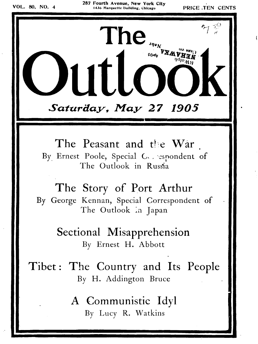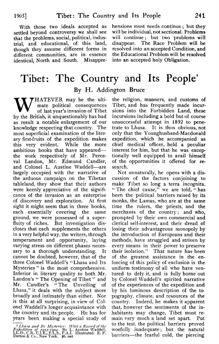1905]

settled beyond controversy we shall see that the problems, social, political, industrial, and educational, of this land, disappear. The Race Problem will be though they assume different forms in resolved into an accepted Condition, and though they assume different forms in resolved into an accepted Condition, and different communities, are in essence the Educational Problem will be resolved different communities, are in essence the Educational Problem will be resolution.<br>
identical, North and South. Misappre- into an accepted holy Obligation. identical, North and South. Misappre-

With those two ideals accepted as hensions must needs continue; but they<br>Heled beyond controversy we shall see will be individual, not sectional. Problems will continue; but two problems will disappear. The Race Problem will be

## Tibet: The Country and Its People' **By** H. Addington Bruce

THATEVER may be the ultimate political consequences of last year's invasion of Tibet by the British, it unquestionably has had as result a notable enlargement of our knowledge respecting that country. The most superficial examination of the literary first-fruits of the expedition makes this very evident. While the more ambitious books that have appeared the work respectively of Mr. Perceval Landon, Mr. Edmund Candler, and Colonel L. Austine Waddell-are largely occupied with the narrative of the arduous campaign on the 'Tibetan tableland, they show that their authors were keenly appreciative of the significance of the invasion as an enterprise of discovery and exploration. At first sight it might seem that in three books, each essentially covering the same ground, we were possessed of a superfluity of riches. But investigation discloses that each supplements the others in a very helpful way, the writers, through temperament and opportunity, laying varying stress on different phases necessary to a thorough understanding. It cannot be doubted, however, that of the three Colonel Waddell's "Lhasa and Its Mysteries " is the most comprehensive. Inferior in literary quality to both Mr. Landon's " The Opening of Tibet" and Mr. Candler's "The Unveiling of Lhasa," it deals with the subject more broadly and intimately than either. Nor is this at all surprising, in view of Colonel Waddell's longer acquaintance with the country and its people. He has for years been making a special study of broadly and intimately than either. Nor<br>is this at all surprising, in view of Col-<br>onel Waddell's longer acquaintance with<br>the country and its people. He has for<br>years been making a special study of<br> $\frac{1}{L}$ <br>*I.hasa and I* 

the religion, manners, and customs of 'Tibet, and has frequently made incursions into the Forbidden Land, these incursions including a bold but of course unsuccessful attempt in 1892 to penetrate to Lhasa. It is thus obvious, not only that the Younghusband-Macdonald expedition, which he accompanied as chief medical officer, held a peculiar interest for him, but that he was excep tionally well equipped to avail himself of the opportunities it offered for research.

Not unnaturally, he opens with a discussion of the factors conjoining to make 'Tibet so long a terra incognita. " The chief cause," we are told, "has been the political barriers raised by its monks, the Lamas, who are at the same time the rulers, the priests, and the merchants of the country; and who, prompted by their own commercial and clerical self-interest, and their dread of losing their advantageous monopoly by the introduction of Europeans and their methods, have struggled and striven by every means in their power to preserve their isolation." That nature has been of the greatest assistance in the enforcing of this policy of exclusion is the uniform testimony of all who have ventured to defy it, and is fully borne out by Colonel Waddell's spirited narrative of the experiences of the expedition and by his luminous description of the to pography, climate, and resources of the country. Indeed, he makes it apparent that, however the sentiments of the inhabitants may change, Tibet must remain very much a land set apart. Put to the test, the political barriers proved woefully inadequate ; but the natural barriers—the fearful cold, the piercing

*Expedition of 1903-1904.* By L. Austine Waddell, LL.D., C.B., C.I.E., F.L.S., F.A.I. Illustrated. E. P. Dutton & Co., New York.  $$6$ , net.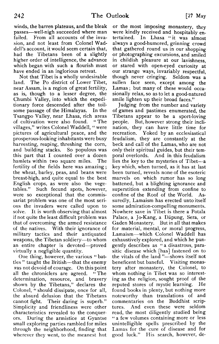winds, the barren plateaus, and the bleak passes-well-nigh succeeded where man failed. From all accounts of the invasion, and not least from Colonel Waddell's account, it would seem certain that, had the Tibetans been of a slightly higher order of intelligence, the advance which began with such a flourish must have ended in an inglorious retreat.

Not that Tibet is a wholly undesirable land. The Po district of Lower Tibet, near Assam, is a region of great fertility, as is, though to a lesser degree, the Chumbi Valley, into which the expeditionary force descended after the toilsome passage of the Himalayas. In the Tsangpo Valley, near Lhasa, rich areas of cultivation were also found. "The villages," writes Colonel Waddell, " were pictures of agricultural peace, and the prosperous-looking inhabitants were busy harvesting, reaping, threshing the corn, and building stacks. So populous was this part that I counted over a dozen<br>hamlets within two square miles. The hamlets within two square miles. fertility of the fields here was amazing; the wheat, barley, peas, and beans were breast-high, and quite equal to the best English crops, as were also the vegetables." Such fecund spots, however, were so exceptional that the commissariat problem was one of the most serious the invaders were called upon to solve. It is worth observing that almost if not quite the least difficult problem was that of overcoming the armed resistance of the natives. With their ignorance of military tactics and their antiquated weapons, the Tibetan soldiery—to whom an entire chapter is devoted—proved virtually a negligible quantity.

One thing, however, the various " battles " taught the British—that the enemy was not devoid of courage. On this point all the chroniclers are agreed. " The determination, resource, and bravery shown by the Tibetans," declares the Colonel, " should dissipate, once for all, the ahsurd delusion that the Tibetans cannot fight. Their daring is superb." Simplicity and friendliness were other characteristics revealed to the conquerors. During the armistice at Gyantse small exploring parties rambled for miles through the neighborhood, finding that wherever they went, to the meanest hut

or the most imposing monastery, they were kindly received and hospitably entertained. In Lhasa "it was almost always a good-humored, grinning crowd that gathered round us in our shopping or photographing excursions, and smiled in childish pleasure at our lavishness, or stared with open-eyed curiosity at our strange ways, invariably respectful, though never cringing. Seldom was a sullen face seen, except among the Lamas ; but many of these would occasionally relax, so as to let a good-natured smile lighten up their broad faces."

Judging from the number and variety of games and pastimes enumerated, the Tibetans appear to be a sport-loving people. But, however strong their inclination, they can have little time for recreation. Yoked by an ecclesiastical feudalism, they are constantly at the beck and call of the Lamas, who are not only their spiritual guides, but their temporal overlords. And in this feudalism lies the key to the mysteries of Tibet—a key which, when turned, as it has at last been turned, reveals none of the esoteric marvels on which rumor has so long battened, but a blighting ignorance and superstition extending from confine to confine of the Roof of the World. Assuredly, Lamaism has erected unto itself some admiration-compelling monuments. Nowhere save in Tibet is there a Potala Palace, a Jo-Kang, a Däpung, Sera, or Gaden Monastery. But in all that makes for material, mental, or moral progress, Lamaism-which Colonel Waddell has exhaustively explored, and which he pungently describes as " a disastrous, parasitic disease which [has] fastened on to the vitals of the land "--shows itself not beneficent but baneful. Visiting monastery after monastery, the Colonel, to whom nothing in Tibet was so interesting as the religion, sought proof of the reputed stores of mystic learning. He found books in plenty, but nothing more noteworthy than translations of and commentaries on the Buddhist scrip tures. And even these were seldom read, the most diligently studied being "a few volumes containing more or less unintelligible spells prescribed by the Lamas for the cure of disease and for good luck." His search, however, de-